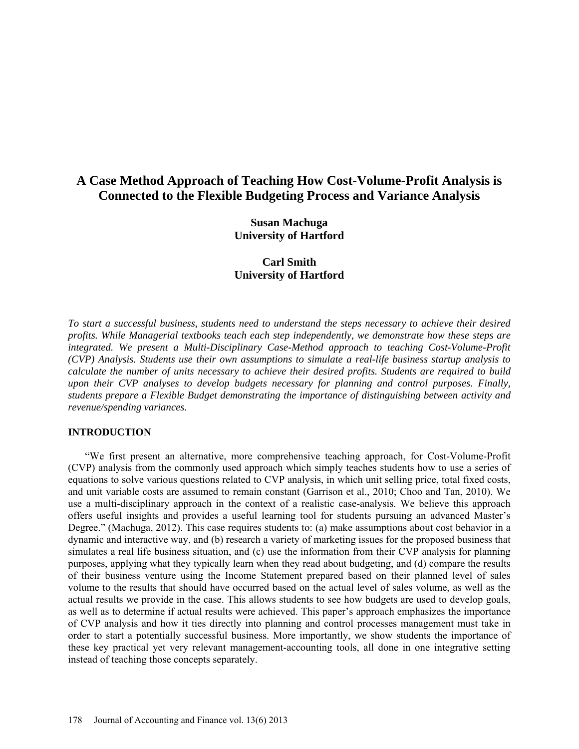# **A Case Method Approach of Teaching How Cost-Volume-Profit Analysis is Connected to the Flexible Budgeting Process and Variance Analysis**

**Susan Machuga University of Hartford**

**Carl Smith University of Hartford**

*To start a successful business, students need to understand the steps necessary to achieve their desired profits. While Managerial textbooks teach each step independently, we demonstrate how these steps are integrated. We present a Multi-Disciplinary Case-Method approach to teaching Cost-Volume-Profit (CVP) Analysis. Students use their own assumptions to simulate a real-life business startup analysis to calculate the number of units necessary to achieve their desired profits. Students are required to build upon their CVP analyses to develop budgets necessary for planning and control purposes. Finally, students prepare a Flexible Budget demonstrating the importance of distinguishing between activity and revenue/spending variances.*

#### **INTRODUCTION**

"We first present an alternative, more comprehensive teaching approach, for Cost-Volume-Profit (CVP) analysis from the commonly used approach which simply teaches students how to use a series of equations to solve various questions related to CVP analysis, in which unit selling price, total fixed costs, and unit variable costs are assumed to remain constant (Garrison et al., 2010; Choo and Tan, 2010). We use a multi-disciplinary approach in the context of a realistic case-analysis. We believe this approach offers useful insights and provides a useful learning tool for students pursuing an advanced Master's Degree." (Machuga, 2012). This case requires students to: (a) make assumptions about cost behavior in a dynamic and interactive way, and (b) research a variety of marketing issues for the proposed business that simulates a real life business situation, and (c) use the information from their CVP analysis for planning purposes, applying what they typically learn when they read about budgeting, and (d) compare the results of their business venture using the Income Statement prepared based on their planned level of sales volume to the results that should have occurred based on the actual level of sales volume, as well as the actual results we provide in the case. This allows students to see how budgets are used to develop goals, as well as to determine if actual results were achieved. This paper's approach emphasizes the importance of CVP analysis and how it ties directly into planning and control processes management must take in order to start a potentially successful business. More importantly, we show students the importance of these key practical yet very relevant management-accounting tools, all done in one integrative setting instead of teaching those concepts separately.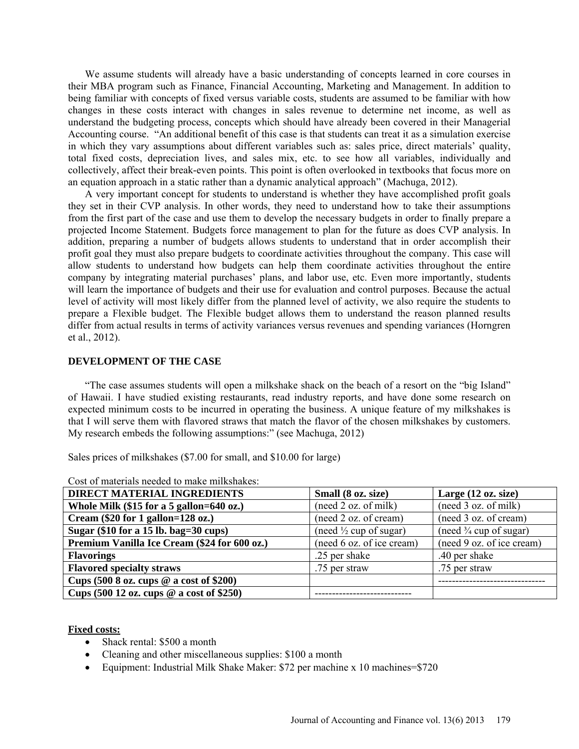We assume students will already have a basic understanding of concepts learned in core courses in their MBA program such as Finance, Financial Accounting, Marketing and Management. In addition to being familiar with concepts of fixed versus variable costs, students are assumed to be familiar with how changes in these costs interact with changes in sales revenue to determine net income, as well as understand the budgeting process, concepts which should have already been covered in their Managerial Accounting course. "An additional benefit of this case is that students can treat it as a simulation exercise in which they vary assumptions about different variables such as: sales price, direct materials' quality, total fixed costs, depreciation lives, and sales mix, etc. to see how all variables, individually and collectively, affect their break-even points. This point is often overlooked in textbooks that focus more on an equation approach in a static rather than a dynamic analytical approach" (Machuga, 2012).

A very important concept for students to understand is whether they have accomplished profit goals they set in their CVP analysis. In other words, they need to understand how to take their assumptions from the first part of the case and use them to develop the necessary budgets in order to finally prepare a projected Income Statement. Budgets force management to plan for the future as does CVP analysis. In addition, preparing a number of budgets allows students to understand that in order accomplish their profit goal they must also prepare budgets to coordinate activities throughout the company. This case will allow students to understand how budgets can help them coordinate activities throughout the entire company by integrating material purchases' plans, and labor use, etc. Even more importantly, students will learn the importance of budgets and their use for evaluation and control purposes. Because the actual level of activity will most likely differ from the planned level of activity, we also require the students to prepare a Flexible budget. The Flexible budget allows them to understand the reason planned results differ from actual results in terms of activity variances versus revenues and spending variances (Horngren et al., 2012).

#### **DEVELOPMENT OF THE CASE**

"The case assumes students will open a milkshake shack on the beach of a resort on the "big Island" of Hawaii. I have studied existing restaurants, read industry reports, and have done some research on expected minimum costs to be incurred in operating the business. A unique feature of my milkshakes is that I will serve them with flavored straws that match the flavor of the chosen milkshakes by customers. My research embeds the following assumptions:" (see Machuga, 2012)

Sales prices of milkshakes (\$7.00 for small, and \$10.00 for large)

| <b>DIRECT MATERIAL INGREDIENTS</b>                           | Small (8 oz. size)                | Large $(12 \text{ oz. size})$     |  |
|--------------------------------------------------------------|-----------------------------------|-----------------------------------|--|
| Whole Milk (\$15 for a 5 gallon=640 oz.)                     | (need 2 oz. of milk)              | (need 3 oz. of milk)              |  |
| Cream $(\$20$ for 1 gallon=128 oz.)                          | (need 2 oz. of cream)             | (need 3 oz. of cream)             |  |
| Sugar $(\$10$ for a 15 lb. bag=30 cups)                      | (need $\frac{1}{2}$ cup of sugar) | (need $\frac{3}{4}$ cup of sugar) |  |
| Premium Vanilla Ice Cream (\$24 for 600 oz.)                 | (need 6 oz. of ice cream)         | (need 9 oz. of ice cream)         |  |
| <b>Flavorings</b>                                            | .25 per shake                     | .40 per shake                     |  |
| <b>Flavored specialty straws</b>                             | .75 per straw                     | .75 per straw                     |  |
| Cups $(500 8 oz. cups @ a cost of $200)$                     |                                   |                                   |  |
| Cups $(500 12 \text{ oz. cups} \ @ \text{ a cost of } $250)$ |                                   |                                   |  |

Cost of materials needed to make milkshakes:

#### **Fixed costs:**

- Shack rental: \$500 a month
- Cleaning and other miscellaneous supplies: \$100 a month
- Equipment: Industrial Milk Shake Maker: \$72 per machine x 10 machines=\$720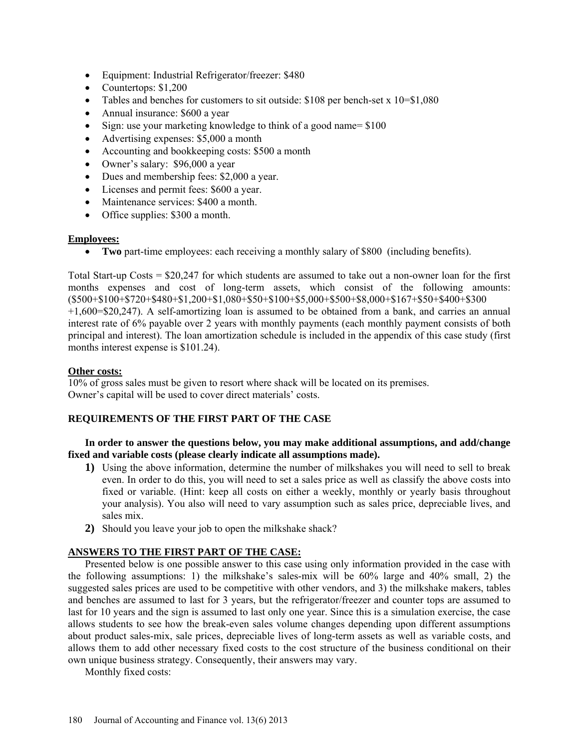- Equipment: Industrial Refrigerator/freezer: \$480
- Countertops: \$1,200
- Tables and benches for customers to sit outside: \$108 per bench-set x 10=\$1,080
- Annual insurance: \$600 a year
- Sign: use your marketing knowledge to think of a good name= \$100
- Advertising expenses: \$5,000 a month
- Accounting and bookkeeping costs: \$500 a month
- Owner's salary: \$96,000 a year
- Dues and membership fees: \$2,000 a year.
- Licenses and permit fees: \$600 a year.
- Maintenance services: \$400 a month.
- Office supplies: \$300 a month.

### **Employees:**

• **Two** part-time employees: each receiving a monthly salary of \$800 (including benefits).

Total Start-up Costs = \$20,247 for which students are assumed to take out a non-owner loan for the first months expenses and cost of long-term assets, which consist of the following amounts: (\$500+\$100+\$720+\$480+\$1,200+\$1,080+\$50+\$100+\$5,000+\$500+\$8,000+\$167+\$50+\$400+\$300 +1,600=\$20,247). A self-amortizing loan is assumed to be obtained from a bank, and carries an annual interest rate of 6% payable over 2 years with monthly payments (each monthly payment consists of both principal and interest). The loan amortization schedule is included in the appendix of this case study (first months interest expense is \$101.24).

### **Other costs:**

10% of gross sales must be given to resort where shack will be located on its premises. Owner's capital will be used to cover direct materials' costs.

# **REQUIREMENTS OF THE FIRST PART OF THE CASE**

### **In order to answer the questions below, you may make additional assumptions, and add/change fixed and variable costs (please clearly indicate all assumptions made).**

- **1)** Using the above information, determine the number of milkshakes you will need to sell to break even. In order to do this, you will need to set a sales price as well as classify the above costs into fixed or variable. (Hint: keep all costs on either a weekly, monthly or yearly basis throughout your analysis). You also will need to vary assumption such as sales price, depreciable lives, and sales mix.
- **2)** Should you leave your job to open the milkshake shack?

### **ANSWERS TO THE FIRST PART OF THE CASE:**

Presented below is one possible answer to this case using only information provided in the case with the following assumptions: 1) the milkshake's sales-mix will be 60% large and 40% small, 2) the suggested sales prices are used to be competitive with other vendors, and 3) the milkshake makers, tables and benches are assumed to last for 3 years, but the refrigerator/freezer and counter tops are assumed to last for 10 years and the sign is assumed to last only one year. Since this is a simulation exercise, the case allows students to see how the break-even sales volume changes depending upon different assumptions about product sales-mix, sale prices, depreciable lives of long-term assets as well as variable costs, and allows them to add other necessary fixed costs to the cost structure of the business conditional on their own unique business strategy. Consequently, their answers may vary.

Monthly fixed costs: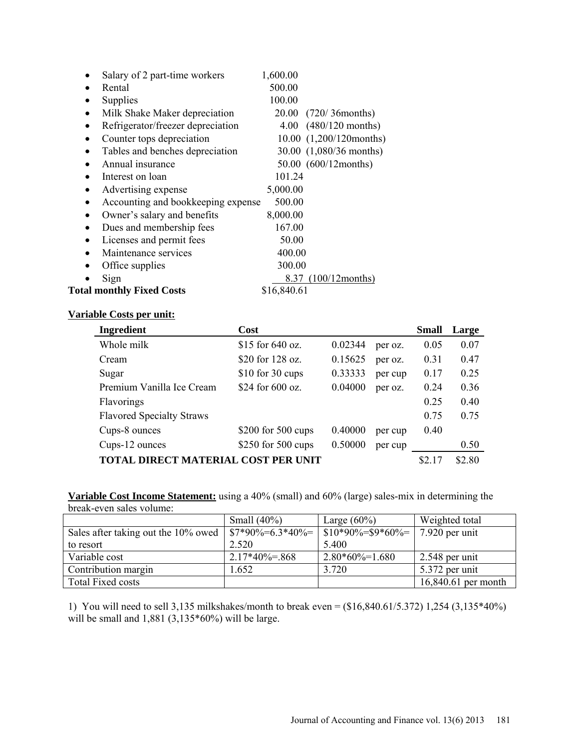|           | Salary of 2 part-time workers      | 1,600.00                     |  |
|-----------|------------------------------------|------------------------------|--|
|           | Rental                             | 500.00                       |  |
|           | Supplies                           | 100.00                       |  |
| $\bullet$ | Milk Shake Maker depreciation      | 20.00 (720/36 months)        |  |
|           | Refrigerator/freezer depreciation  | $4.00$ $(480/120$ months)    |  |
|           | Counter tops depreciation          | $10.00$ $(1,200/120$ months) |  |
|           | Tables and benches depreciation    | 30.00 (1,080/36 months)      |  |
|           | Annual insurance                   | 50.00 (600/12months)         |  |
|           | Interest on loan                   | 101.24                       |  |
|           | Advertising expense                | 5,000.00                     |  |
|           | Accounting and bookkeeping expense | 500.00                       |  |
|           | Owner's salary and benefits        | 8,000.00                     |  |
|           | Dues and membership fees           | 167.00                       |  |
|           | Licenses and permit fees           | 50.00                        |  |
|           | Maintenance services               | 400.00                       |  |
|           | Office supplies                    | 300.00                       |  |
|           | Sign                               | 8.37 (100/12 months)         |  |
|           | <b>Total monthly Fixed Costs</b>   | \$16,840.61                  |  |

### **Variable Costs per unit:**

| Ingredient                          | Cost               |         |         | <b>Small</b> | Large |
|-------------------------------------|--------------------|---------|---------|--------------|-------|
| Whole milk                          | \$15 for $640$ oz. | 0.02344 | per oz. | 0.05         | 0.07  |
| Cream                               | \$20 for 128 oz.   | 0.15625 | per oz. | 0.31         | 0.47  |
| Sugar                               | $$10$ for 30 cups  | 0.33333 | per cup | 0.17         | 0.25  |
| Premium Vanilla Ice Cream           | \$24 for 600 oz.   | 0.04000 | per oz. | 0.24         | 0.36  |
| <b>Flavorings</b>                   |                    |         |         | 0.25         | 0.40  |
| <b>Flavored Specialty Straws</b>    |                    |         |         | 0.75         | 0.75  |
| Cups-8 ounces                       | \$200 for 500 cups | 0.40000 | per cup | 0.40         |       |
| Cups-12 ounces                      | \$250 for 500 cups | 0.50000 | per cup |              | 0.50  |
| TOTAL DIRECT MATERIAL COST PER UNIT |                    |         | \$2.17  | \$2.80       |       |

**Variable Cost Income Statement:** using a 40% (small) and 60% (large) sales-mix in determining the break-even sales volume:

|                                     | Small $(40\%)$                               | Large $(60\%)$                  | Weighted total      |
|-------------------------------------|----------------------------------------------|---------------------------------|---------------------|
| Sales after taking out the 10% owed | $\left  \frac{\$7*90\%}{\$6.3*40\%} \right $ | $\frac{\$10*90\%}{\$}$ \$9*60%= | $7.920$ per unit    |
| to resort                           | 2.520                                        | 5.400                           |                     |
| Variable cost                       | $2.17*40\% = 868$                            | $2.80*60\% = 1.680$             | $2.548$ per unit    |
| Contribution margin                 | $-652$                                       | 3.720                           | $5.372$ per unit    |
| <b>Total Fixed costs</b>            |                                              |                                 | 16,840.61 per month |

1) You will need to sell 3,135 milkshakes/month to break even = (\$16,840.61/5.372) 1,254 (3,135\*40%) will be small and  $1,881$  (3,135\*60%) will be large.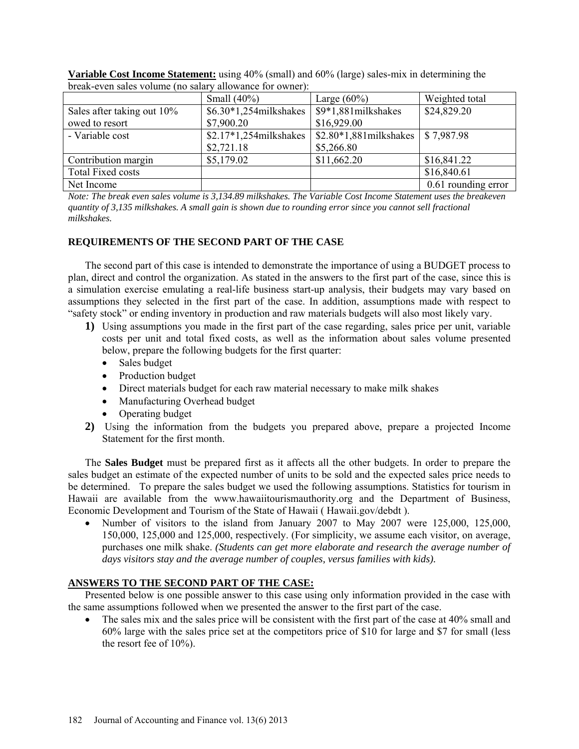| orcan-cycli sarcs volume (no salary anowance for owner). |                         |                          |                     |  |  |  |
|----------------------------------------------------------|-------------------------|--------------------------|---------------------|--|--|--|
|                                                          | Small $(40\%)$          | Large $(60\%)$           | Weighted total      |  |  |  |
| Sales after taking out 10%                               | \$6.30*1,254milkshakes  | \$9*1,881milkshakes      | \$24,829.20         |  |  |  |
| owed to resort                                           | \$7,900.20              | \$16,929.00              |                     |  |  |  |
| - Variable cost                                          | $$2.17*1,254milkshakes$ | $$2.80*1,881$ milkshakes | \$7,987.98          |  |  |  |
|                                                          | \$2,721.18              | \$5,266.80               |                     |  |  |  |
| Contribution margin                                      | \$5,179.02              | \$11,662.20              | \$16,841.22         |  |  |  |
| <b>Total Fixed costs</b>                                 |                         |                          | \$16,840.61         |  |  |  |
| Net Income                                               |                         |                          | 0.61 rounding error |  |  |  |

**Variable Cost Income Statement:** using 40% (small) and 60% (large) sales-mix in determining the break-even sales volume (no salary allowance for owner):

*Note: The break even sales volume is 3,134.89 milkshakes. The Variable Cost Income Statement uses the breakeven quantity of 3,135 milkshakes. A small gain is shown due to rounding error since you cannot sell fractional milkshakes.*

### **REQUIREMENTS OF THE SECOND PART OF THE CASE**

The second part of this case is intended to demonstrate the importance of using a BUDGET process to plan, direct and control the organization. As stated in the answers to the first part of the case, since this is a simulation exercise emulating a real-life business start-up analysis, their budgets may vary based on assumptions they selected in the first part of the case. In addition, assumptions made with respect to "safety stock" or ending inventory in production and raw materials budgets will also most likely vary.

- **1)** Using assumptions you made in the first part of the case regarding, sales price per unit, variable costs per unit and total fixed costs, as well as the information about sales volume presented below, prepare the following budgets for the first quarter:
	- Sales budget
	- Production budget
	- Direct materials budget for each raw material necessary to make milk shakes
	- Manufacturing Overhead budget
	- Operating budget
- **2)** Using the information from the budgets you prepared above, prepare a projected Income Statement for the first month.

The **Sales Budget** must be prepared first as it affects all the other budgets. In order to prepare the sales budget an estimate of the expected number of units to be sold and the expected sales price needs to be determined. To prepare the sales budget we used the following assumptions. Statistics for tourism in Hawaii are available from the [www.hawaiitourismauthority.org](http://www.hawaiitourismauthority.org/) and the Department of Business, Economic Development and Tourism of the State of Hawaii ( Hawaii.gov/debdt ).

• Number of visitors to the island from January 2007 to May 2007 were 125,000, 125,000, 150,000, 125,000 and 125,000, respectively. (For simplicity, we assume each visitor, on average, purchases one milk shake. *(Students can get more elaborate and research the average number of days visitors stay and the average number of couples, versus families with kids).*

### **ANSWERS TO THE SECOND PART OF THE CASE:**

Presented below is one possible answer to this case using only information provided in the case with the same assumptions followed when we presented the answer to the first part of the case.

The sales mix and the sales price will be consistent with the first part of the case at 40% small and 60% large with the sales price set at the competitors price of \$10 for large and \$7 for small (less the resort fee of 10%).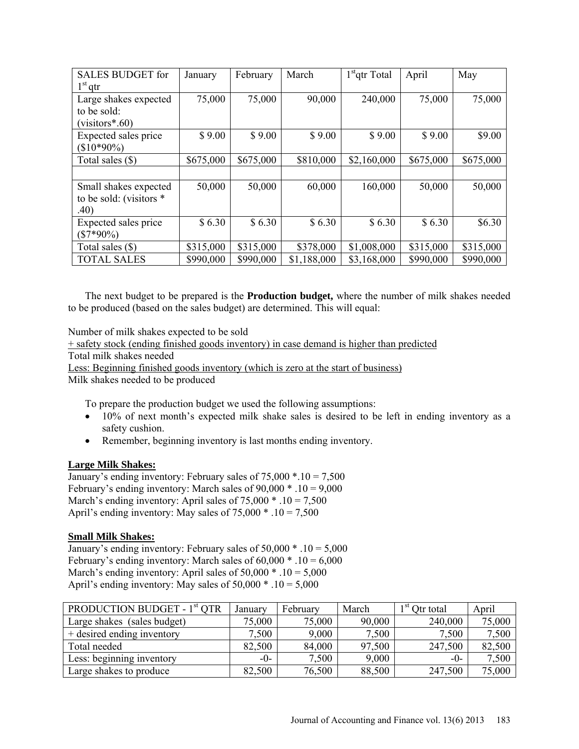| <b>SALES BUDGET for</b> | January   | February  | March       | $1st$ qtr Total | April     | May       |
|-------------------------|-----------|-----------|-------------|-----------------|-----------|-----------|
| $1st$ qtr               |           |           |             |                 |           |           |
| Large shakes expected   | 75,000    | 75,000    | 90,000      | 240,000         | 75,000    | 75,000    |
| to be sold:             |           |           |             |                 |           |           |
| $(visitors*.60)$        |           |           |             |                 |           |           |
| Expected sales price    | \$9.00    | \$9.00    | \$9.00      | \$9.00          | \$9.00    | \$9.00    |
| $$10*90\%$              |           |           |             |                 |           |           |
| Total sales (\$)        | \$675,000 | \$675,000 | \$810,000   | \$2,160,000     | \$675,000 | \$675,000 |
|                         |           |           |             |                 |           |           |
| Small shakes expected   | 50,000    | 50,000    | 60,000      | 160,000         | 50,000    | 50,000    |
| to be sold: (visitors * |           |           |             |                 |           |           |
| .40)                    |           |           |             |                 |           |           |
| Expected sales price    | \$6.30    | \$6.30    | \$6.30      | \$6.30          | \$6.30    | \$6.30    |
| $(\$7*90\%)$            |           |           |             |                 |           |           |
| Total sales (\$)        | \$315,000 | \$315,000 | \$378,000   | \$1,008,000     | \$315,000 | \$315,000 |
| <b>TOTAL SALES</b>      | \$990,000 | \$990,000 | \$1,188,000 | \$3,168,000     | \$990,000 | \$990,000 |

The next budget to be prepared is the **Production budget,** where the number of milk shakes needed to be produced (based on the sales budget) are determined. This will equal:

Number of milk shakes expected to be sold

+ safety stock (ending finished goods inventory) in case demand is higher than predicted Total milk shakes needed

Less: Beginning finished goods inventory (which is zero at the start of business)

Milk shakes needed to be produced

To prepare the production budget we used the following assumptions:

- 10% of next month's expected milk shake sales is desired to be left in ending inventory as a safety cushion.
- Remember, beginning inventory is last months ending inventory.

### **Large Milk Shakes:**

January's ending inventory: February sales of 75,000 \*.10 = 7,500 February's ending inventory: March sales of  $90,000 * 0.10 = 9,000$ March's ending inventory: April sales of  $75,000 * 0.10 = 7,500$ April's ending inventory: May sales of  $75,000 * 0.10 = 7,500$ 

### **Small Milk Shakes:**

January's ending inventory: February sales of  $50,000 * 0.10 = 5,000$ February's ending inventory: March sales of  $60,000$  \* .10 =  $6,000$ March's ending inventory: April sales of  $50,000$   $*$  .10 =  $5,000$ April's ending inventory: May sales of  $50,000 * 0.10 = 5,000$ 

| PRODUCTION BUDGET - 1 <sup>st</sup> QTR | January | February | March  | 1 SU<br>Otr total | April  |
|-----------------------------------------|---------|----------|--------|-------------------|--------|
| Large shakes (sales budget)             | 75,000  | 75,000   | 90,000 | 240,000           | 75,000 |
| + desired ending inventory              | 7,500   | 9,000    | 7,500  | 7,500             | 7,500  |
| Total needed                            | 82,500  | 84,000   | 97,500 | 247,500           | 82,500 |
| Less: beginning inventory               | $-()$ - | 7,500    | 9,000  | $-()$ -           | 7,500  |
| Large shakes to produce                 | 82,500  | 76,500   | 88,500 | 247,500           | 75,000 |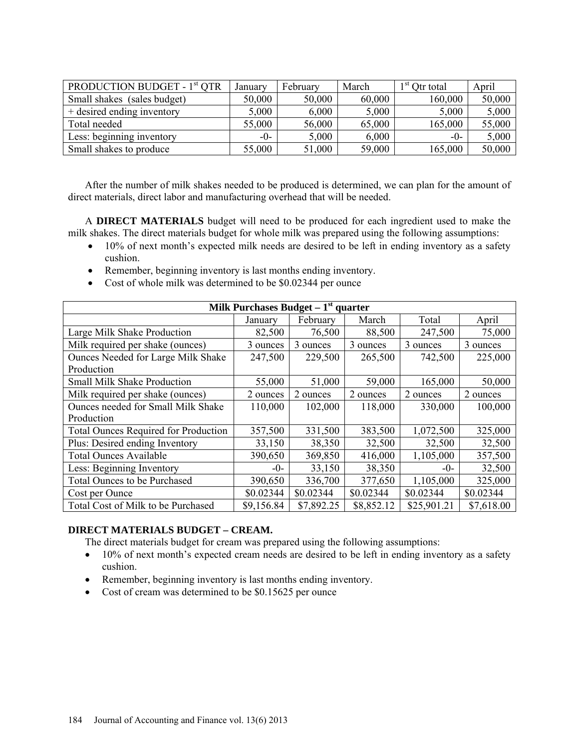| PRODUCTION BUDGET - 1 <sup>st</sup> QTR | Januarv | February | March  | $1st$ Otr total | April  |
|-----------------------------------------|---------|----------|--------|-----------------|--------|
| Small shakes (sales budget)             | 50,000  | 50,000   | 60,000 | 160,000         | 50,000 |
| + desired ending inventory              | 5,000   | 6,000    | 5,000  | 5,000           | 5,000  |
| Total needed                            | 55,000  | 56,000   | 65,000 | 165,000         | 55,000 |
| Less: beginning inventory               | $-0-$   | 5,000    | 6,000  | $-()$ -         | 5,000  |
| Small shakes to produce                 | 55,000  | 51,000   | 59,000 | 165,000         | 50,000 |

After the number of milk shakes needed to be produced is determined, we can plan for the amount of direct materials, direct labor and manufacturing overhead that will be needed.

A **DIRECT MATERIALS** budget will need to be produced for each ingredient used to make the milk shakes. The direct materials budget for whole milk was prepared using the following assumptions:

- 10% of next month's expected milk needs are desired to be left in ending inventory as a safety cushion.
- Remember, beginning inventory is last months ending inventory.
- Cost of whole milk was determined to be \$0.02344 per ounce

| Milk Purchases Budget $-1st$ quarter        |            |            |            |             |            |  |  |
|---------------------------------------------|------------|------------|------------|-------------|------------|--|--|
|                                             | Januarv    | February   | March      | Total       | April      |  |  |
| Large Milk Shake Production                 | 82,500     | 76,500     | 88,500     | 247,500     | 75,000     |  |  |
| Milk required per shake (ounces)            | 3 ounces   | 3 ounces   | 3 ounces   | 3 ounces    | 3 ounces   |  |  |
| Ounces Needed for Large Milk Shake          | 247,500    | 229,500    | 265,500    | 742,500     | 225,000    |  |  |
| Production                                  |            |            |            |             |            |  |  |
| <b>Small Milk Shake Production</b>          | 55,000     | 51,000     | 59,000     | 165,000     | 50,000     |  |  |
| Milk required per shake (ounces)            | 2 ounces   | 2 ounces   | 2 ounces   | 2 ounces    | 2 ounces   |  |  |
| Ounces needed for Small Milk Shake          | 110,000    | 102,000    | 118,000    | 330,000     | 100,000    |  |  |
| Production                                  |            |            |            |             |            |  |  |
| <b>Total Ounces Required for Production</b> | 357,500    | 331,500    | 383,500    | 1,072,500   | 325,000    |  |  |
| Plus: Desired ending Inventory              | 33,150     | 38,350     | 32,500     | 32,500      | 32,500     |  |  |
| <b>Total Ounces Available</b>               | 390,650    | 369,850    | 416,000    | 1,105,000   | 357,500    |  |  |
| Less: Beginning Inventory                   | $-0-$      | 33,150     | 38,350     | $-0-$       | 32,500     |  |  |
| Total Ounces to be Purchased                | 390,650    | 336,700    | 377,650    | 1,105,000   | 325,000    |  |  |
| Cost per Ounce                              | \$0.02344  | \$0.02344  | \$0.02344  | \$0.02344   | \$0.02344  |  |  |
| Total Cost of Milk to be Purchased          | \$9,156.84 | \$7,892.25 | \$8,852.12 | \$25,901.21 | \$7,618.00 |  |  |

### **DIRECT MATERIALS BUDGET – CREAM.**

The direct materials budget for cream was prepared using the following assumptions:

- 10% of next month's expected cream needs are desired to be left in ending inventory as a safety cushion.
- Remember, beginning inventory is last months ending inventory.
- Cost of cream was determined to be \$0.15625 per ounce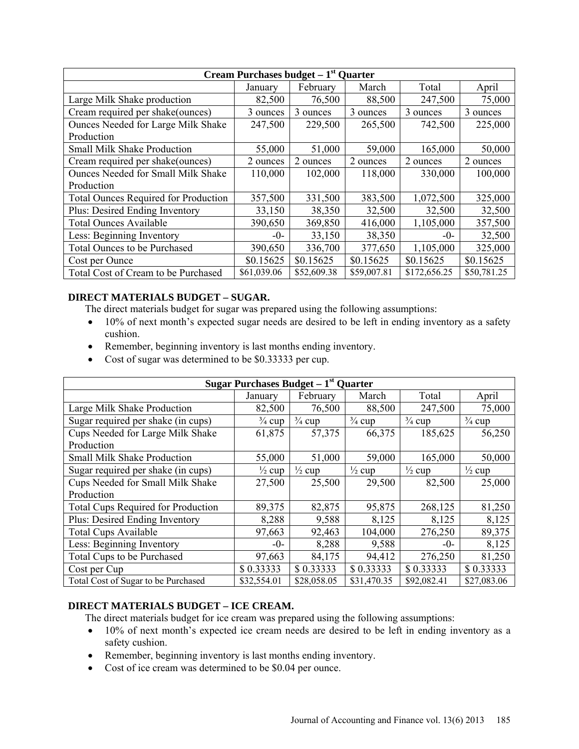| <b>Cream Purchases budget – <math>1st</math> Quarter</b> |             |             |             |              |             |  |  |
|----------------------------------------------------------|-------------|-------------|-------------|--------------|-------------|--|--|
|                                                          | January     | February    | March       | Total        | April       |  |  |
| Large Milk Shake production                              | 82,500      | 76,500      | 88,500      | 247,500      | 75,000      |  |  |
| Cream required per shake(ounces)                         | 3 ounces    | 3 ounces    | 3 ounces    | 3 ounces     | 3 ounces    |  |  |
| Ounces Needed for Large Milk Shake                       | 247,500     | 229,500     | 265,500     | 742,500      | 225,000     |  |  |
| Production                                               |             |             |             |              |             |  |  |
| <b>Small Milk Shake Production</b>                       | 55,000      | 51,000      | 59,000      | 165,000      | 50,000      |  |  |
| Cream required per shake (ounces)                        | 2 ounces    | 2 ounces    | 2 ounces    | 2 ounces     | 2 ounces    |  |  |
| <b>Ounces Needed for Small Milk Shake</b>                | 110,000     | 102,000     | 118,000     | 330,000      | 100,000     |  |  |
| Production                                               |             |             |             |              |             |  |  |
| <b>Total Ounces Required for Production</b>              | 357,500     | 331,500     | 383,500     | 1,072,500    | 325,000     |  |  |
| Plus: Desired Ending Inventory                           | 33,150      | 38,350      | 32,500      | 32,500       | 32,500      |  |  |
| <b>Total Ounces Available</b>                            | 390,650     | 369,850     | 416,000     | 1,105,000    | 357,500     |  |  |
| Less: Beginning Inventory                                | $-0-$       | 33,150      | 38,350      | $-0-$        | 32,500      |  |  |
| Total Ounces to be Purchased                             | 390,650     | 336,700     | 377,650     | 1,105,000    | 325,000     |  |  |
| Cost per Ounce                                           | \$0.15625   | \$0.15625   | \$0.15625   | \$0.15625    | \$0.15625   |  |  |
| Total Cost of Cream to be Purchased                      | \$61,039.06 | \$52,609.38 | \$59,007.81 | \$172,656.25 | \$50,781.25 |  |  |

# **DIRECT MATERIALS BUDGET – SUGAR.**

The direct materials budget for sugar was prepared using the following assumptions:

- 10% of next month's expected sugar needs are desired to be left in ending inventory as a safety cushion.
- Remember, beginning inventory is last months ending inventory.
- Cost of sugar was determined to be \$0.33333 per cup.

| Sugar Purchases Budget $-1st$ Quarter     |                   |                   |                   |                   |                   |  |  |
|-------------------------------------------|-------------------|-------------------|-------------------|-------------------|-------------------|--|--|
|                                           | January           | February          | March             | Total             | April             |  |  |
| Large Milk Shake Production               | 82,500            | 76,500            | 88,500            | 247,500           | 75,000            |  |  |
| Sugar required per shake (in cups)        | $\frac{3}{4}$ cup | $\frac{3}{4}$ cup | $\frac{3}{4}$ cup | $\frac{3}{4}$ cup | $\frac{3}{4}$ cup |  |  |
| Cups Needed for Large Milk Shake          | 61,875            | 57,375            | 66,375            | 185,625           | 56,250            |  |  |
| Production                                |                   |                   |                   |                   |                   |  |  |
| <b>Small Milk Shake Production</b>        | 55,000            | 51,000            | 59,000            | 165,000           | 50,000            |  |  |
| Sugar required per shake (in cups)        | $\frac{1}{2}$ cup | $\frac{1}{2}$ cup | $\frac{1}{2}$ cup | $\frac{1}{2}$ cup | $\frac{1}{2}$ cup |  |  |
| Cups Needed for Small Milk Shake          | 27,500            | 25,500            | 29,500            | 82,500            | 25,000            |  |  |
| Production                                |                   |                   |                   |                   |                   |  |  |
| <b>Total Cups Required for Production</b> | 89,375            | 82,875            | 95,875            | 268,125           | 81,250            |  |  |
| Plus: Desired Ending Inventory            | 8,288             | 9,588             | 8,125             | 8,125             | 8,125             |  |  |
| <b>Total Cups Available</b>               | 97,663            | 92,463            | 104,000           | 276,250           | 89,375            |  |  |
| Less: Beginning Inventory                 | $-0-$             | 8,288             | 9,588             | $-0-$             | 8,125             |  |  |
| Total Cups to be Purchased                | 97,663            | 84,175            | 94,412            | 276,250           | 81,250            |  |  |
| Cost per Cup                              | \$0.33333         | \$0.33333         | \$0.33333         | \$0.33333         | \$0.33333         |  |  |
| Total Cost of Sugar to be Purchased       | \$32,554.01       | \$28,058.05       | \$31,470.35       | \$92,082.41       | \$27,083.06       |  |  |

# **DIRECT MATERIALS BUDGET – ICE CREAM.**

The direct materials budget for ice cream was prepared using the following assumptions:

- 10% of next month's expected ice cream needs are desired to be left in ending inventory as a safety cushion.
- Remember, beginning inventory is last months ending inventory.
- Cost of ice cream was determined to be \$0.04 per ounce.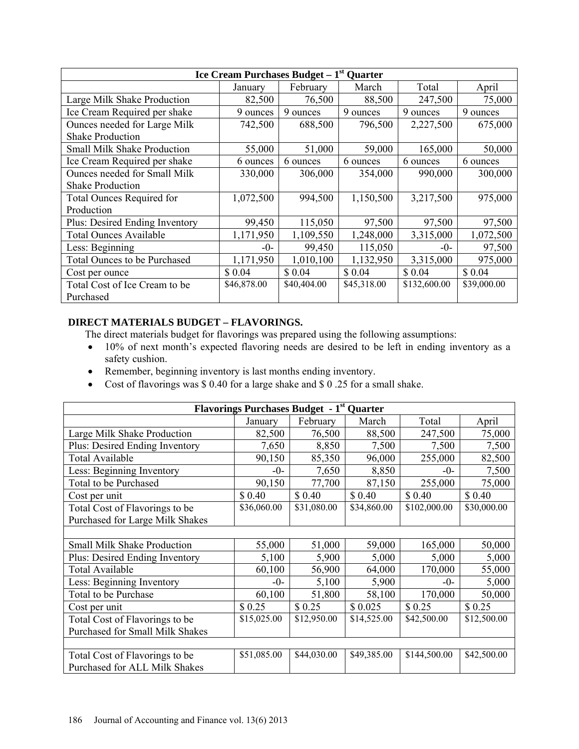| Ice Cream Purchases Budget $-1st$<br><b>Quarter</b> |             |             |             |              |             |  |  |  |
|-----------------------------------------------------|-------------|-------------|-------------|--------------|-------------|--|--|--|
|                                                     | January     | February    | March       | Total        | April       |  |  |  |
| Large Milk Shake Production                         | 82,500      | 76,500      | 88,500      | 247,500      | 75,000      |  |  |  |
| Ice Cream Required per shake                        | 9 ounces    | 9 ounces    | 9 ounces    | 9 ounces     | 9 ounces    |  |  |  |
| Ounces needed for Large Milk                        | 742,500     | 688,500     | 796,500     | 2,227,500    | 675,000     |  |  |  |
| <b>Shake Production</b>                             |             |             |             |              |             |  |  |  |
| <b>Small Milk Shake Production</b>                  | 55,000      | 51,000      | 59,000      | 165,000      | 50,000      |  |  |  |
| Ice Cream Required per shake                        | 6 ounces    | 6 ounces    | 6 ounces    | 6 ounces     | 6 ounces    |  |  |  |
| Ounces needed for Small Milk                        | 330,000     | 306,000     | 354,000     | 990,000      | 300,000     |  |  |  |
| <b>Shake Production</b>                             |             |             |             |              |             |  |  |  |
| Total Ounces Required for                           | 1,072,500   | 994,500     | 1,150,500   | 3,217,500    | 975,000     |  |  |  |
| Production                                          |             |             |             |              |             |  |  |  |
| Plus: Desired Ending Inventory                      | 99,450      | 115,050     | 97,500      | 97,500       | 97,500      |  |  |  |
| <b>Total Ounces Available</b>                       | 1,171,950   | 1,109,550   | 1,248,000   | 3,315,000    | 1,072,500   |  |  |  |
| Less: Beginning                                     | $-()$ -     | 99,450      | 115,050     | $-0-$        | 97,500      |  |  |  |
| Total Ounces to be Purchased                        | 1,171,950   | 1,010,100   | 1,132,950   | 3,315,000    | 975,000     |  |  |  |
| Cost per ounce                                      | \$ 0.04     | \$0.04      | \$ 0.04     | \$0.04       | \$ 0.04     |  |  |  |
| Total Cost of Ice Cream to be                       | \$46,878.00 | \$40,404.00 | \$45,318.00 | \$132,600.00 | \$39,000.00 |  |  |  |
| Purchased                                           |             |             |             |              |             |  |  |  |

# **DIRECT MATERIALS BUDGET – FLAVORINGS.**

The direct materials budget for flavorings was prepared using the following assumptions:

- 10% of next month's expected flavoring needs are desired to be left in ending inventory as a safety cushion.
- Remember, beginning inventory is last months ending inventory.
- Cost of flavorings was \$ 0.40 for a large shake and \$ 0 .25 for a small shake.

| <b>Flavorings Purchases Budget - 1st Quarter</b> |             |             |             |              |             |  |  |  |
|--------------------------------------------------|-------------|-------------|-------------|--------------|-------------|--|--|--|
|                                                  | January     | February    | March       | Total        | April       |  |  |  |
| Large Milk Shake Production                      | 82,500      | 76,500      | 88,500      | 247,500      | 75,000      |  |  |  |
| Plus: Desired Ending Inventory                   | 7,650       | 8,850       | 7,500       | 7,500        | 7,500       |  |  |  |
| <b>Total Available</b>                           | 90,150      | 85,350      | 96,000      | 255,000      | 82,500      |  |  |  |
| Less: Beginning Inventory                        | $-0-$       | 7,650       | 8,850       | $-()$ -      | 7,500       |  |  |  |
| Total to be Purchased                            | 90,150      | 77,700      | 87,150      | 255,000      | 75,000      |  |  |  |
| Cost per unit                                    | \$0.40      | \$0.40      | \$ 0.40     | \$0.40       | \$ 0.40     |  |  |  |
| Total Cost of Flavorings to be                   | \$36,060.00 | \$31,080.00 | \$34,860.00 | \$102,000.00 | \$30,000.00 |  |  |  |
| Purchased for Large Milk Shakes                  |             |             |             |              |             |  |  |  |
|                                                  |             |             |             |              |             |  |  |  |
| <b>Small Milk Shake Production</b>               | 55,000      | 51,000      | 59,000      | 165,000      | 50,000      |  |  |  |
| Plus: Desired Ending Inventory                   | 5,100       | 5,900       | 5,000       | 5,000        | 5,000       |  |  |  |
| <b>Total Available</b>                           | 60,100      | 56,900      | 64,000      | 170,000      | 55,000      |  |  |  |
| Less: Beginning Inventory                        | $-0-$       | 5,100       | 5,900       | $-()$ -      | 5,000       |  |  |  |
| Total to be Purchase                             | 60,100      | 51,800      | 58,100      | 170,000      | 50,000      |  |  |  |
| Cost per unit                                    | \$0.25      | \$0.25      | \$0.025     | \$0.25       | \$0.25      |  |  |  |
| Total Cost of Flavorings to be                   | \$15,025.00 | \$12,950.00 | \$14,525.00 | \$42,500.00  | \$12,500.00 |  |  |  |
| Purchased for Small Milk Shakes                  |             |             |             |              |             |  |  |  |
|                                                  |             |             |             |              |             |  |  |  |
| Total Cost of Flavorings to be                   | \$51,085.00 | \$44,030.00 | \$49,385.00 | \$144,500.00 | \$42,500.00 |  |  |  |
| Purchased for ALL Milk Shakes                    |             |             |             |              |             |  |  |  |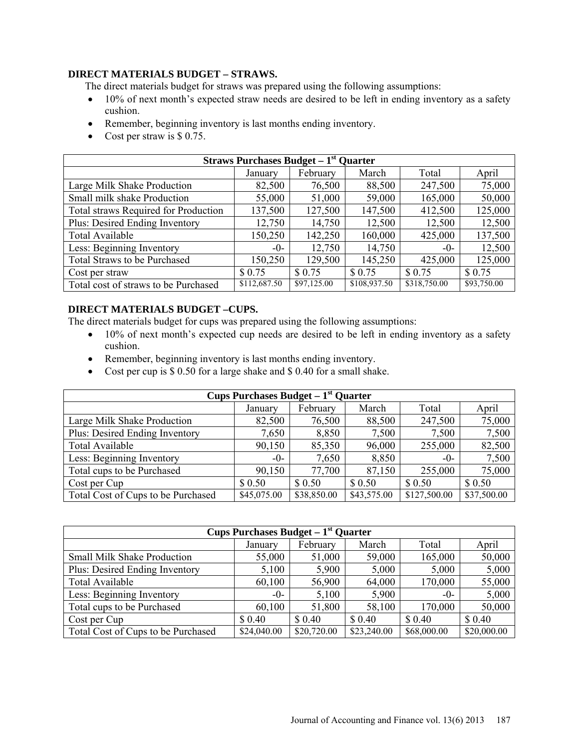### **DIRECT MATERIALS BUDGET – STRAWS.**

The direct materials budget for straws was prepared using the following assumptions:

- 10% of next month's expected straw needs are desired to be left in ending inventory as a safety cushion.
- Remember, beginning inventory is last months ending inventory.
- Cost per straw is \$ 0.75.

| <b>Straws Purchases Budget – <math>1st</math> Quarter</b> |              |             |              |              |             |  |  |
|-----------------------------------------------------------|--------------|-------------|--------------|--------------|-------------|--|--|
|                                                           | January      | February    | March        | Total        | April       |  |  |
| Large Milk Shake Production                               | 82,500       | 76,500      | 88,500       | 247,500      | 75,000      |  |  |
| Small milk shake Production                               | 55,000       | 51,000      | 59,000       | 165,000      | 50,000      |  |  |
| Total straws Required for Production                      | 137,500      | 127,500     | 147,500      | 412,500      | 125,000     |  |  |
| Plus: Desired Ending Inventory                            | 12,750       | 14,750      | 12,500       | 12,500       | 12,500      |  |  |
| Total Available                                           | 150,250      | 142,250     | 160,000      | 425,000      | 137,500     |  |  |
| Less: Beginning Inventory                                 | $-()$ -      | 12,750      | 14,750       | $-()$ -      | 12,500      |  |  |
| Total Straws to be Purchased                              | 150,250      | 129,500     | 145,250      | 425,000      | 125,000     |  |  |
| Cost per straw                                            | \$0.75       | \$ 0.75     | \$0.75       | \$0.75       | \$0.75      |  |  |
| Total cost of straws to be Purchased                      | \$112,687.50 | \$97,125.00 | \$108,937.50 | \$318,750.00 | \$93,750.00 |  |  |

# **DIRECT MATERIALS BUDGET –CUPS.**

The direct materials budget for cups was prepared using the following assumptions:

- 10% of next month's expected cup needs are desired to be left in ending inventory as a safety cushion.
- Remember, beginning inventory is last months ending inventory.
- Cost per cup is \$ 0.50 for a large shake and \$ 0.40 for a small shake.

| Cups Purchases Budget $-1st$ Quarter |             |             |             |              |             |  |  |  |
|--------------------------------------|-------------|-------------|-------------|--------------|-------------|--|--|--|
|                                      | January     | February    | March       | Total        | April       |  |  |  |
| Large Milk Shake Production          | 82,500      | 76,500      | 88,500      | 247,500      | 75,000      |  |  |  |
| Plus: Desired Ending Inventory       | 7,650       | 8,850       | 7,500       | 7,500        | 7,500       |  |  |  |
| <b>Total Available</b>               | 90,150      | 85,350      | 96,000      | 255,000      | 82,500      |  |  |  |
| Less: Beginning Inventory            | $-0$ -      | 7,650       | 8,850       | $-()$ -      | 7,500       |  |  |  |
| Total cups to be Purchased           | 90,150      | 77,700      | 87,150      | 255,000      | 75,000      |  |  |  |
| Cost per Cup                         | \$0.50      | \$0.50      | \$0.50      | \$0.50       | \$0.50      |  |  |  |
| Total Cost of Cups to be Purchased   | \$45,075.00 | \$38,850.00 | \$43,575.00 | \$127,500.00 | \$37,500.00 |  |  |  |

| <b>Cups Purchases Budget – <math>1st</math> Quarter</b> |             |             |             |             |             |  |  |  |
|---------------------------------------------------------|-------------|-------------|-------------|-------------|-------------|--|--|--|
|                                                         | January     | February    | March       | Total       | April       |  |  |  |
| <b>Small Milk Shake Production</b>                      | 55,000      | 51,000      | 59,000      | 165,000     | 50,000      |  |  |  |
| Plus: Desired Ending Inventory                          | 5,100       | 5,900       | 5,000       | 5,000       | 5,000       |  |  |  |
| <b>Total Available</b>                                  | 60,100      | 56,900      | 64,000      | 170,000     | 55,000      |  |  |  |
| Less: Beginning Inventory                               | $-0$ -      | 5,100       | 5,900       | $-()$ -     | 5,000       |  |  |  |
| Total cups to be Purchased                              | 60,100      | 51,800      | 58,100      | 170,000     | 50,000      |  |  |  |
| Cost per Cup                                            | \$0.40      | \$0.40      | \$ 0.40     | \$ 0.40     | \$0.40      |  |  |  |
| Total Cost of Cups to be Purchased                      | \$24,040.00 | \$20,720.00 | \$23,240.00 | \$68,000.00 | \$20,000.00 |  |  |  |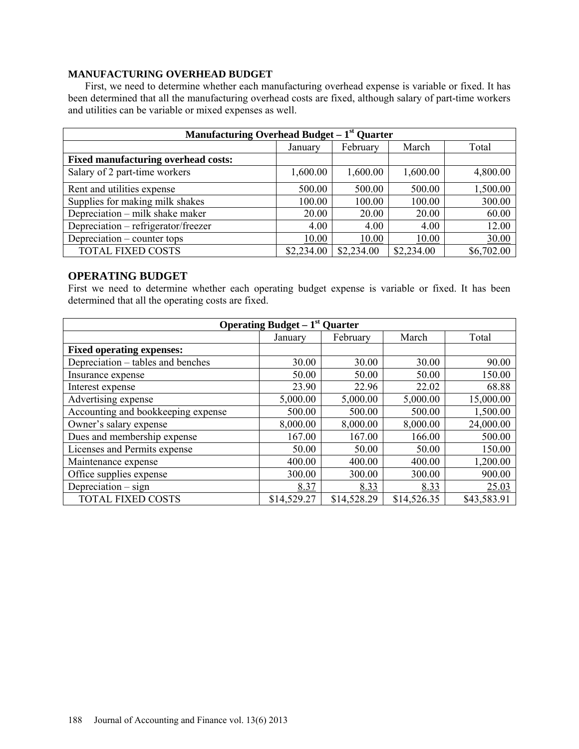### **MANUFACTURING OVERHEAD BUDGET**

First, we need to determine whether each manufacturing overhead expense is variable or fixed. It has been determined that all the manufacturing overhead costs are fixed, although salary of part-time workers and utilities can be variable or mixed expenses as well.

| Manufacturing Overhead Budget $-1st$ Quarter |                              |            |            |            |  |  |  |
|----------------------------------------------|------------------------------|------------|------------|------------|--|--|--|
|                                              | March<br>February<br>January |            |            |            |  |  |  |
| <b>Fixed manufacturing overhead costs:</b>   |                              |            |            |            |  |  |  |
| Salary of 2 part-time workers                | 1,600.00                     | 1,600.00   | 1,600.00   | 4,800.00   |  |  |  |
| Rent and utilities expense                   | 500.00                       | 500.00     | 500.00     | 1,500.00   |  |  |  |
| Supplies for making milk shakes              | 100.00                       | 100.00     | 100.00     | 300.00     |  |  |  |
| Depreciation - milk shake maker              | 20.00                        | 20.00      | 20.00      | 60.00      |  |  |  |
| Depreciation - refrigerator/freezer          | 4.00                         | 4.00       | 4.00       | 12.00      |  |  |  |
| Depreciation – counter tops                  | 10.00                        | 10.00      | 10.00      | 30.00      |  |  |  |
| <b>TOTAL FIXED COSTS</b>                     | \$2,234.00                   | \$2,234.00 | \$2,234.00 | \$6,702.00 |  |  |  |

### **OPERATING BUDGET**

First we need to determine whether each operating budget expense is variable or fixed. It has been determined that all the operating costs are fixed.

| Operating Budget $-1st$ Quarter    |             |             |             |             |  |  |
|------------------------------------|-------------|-------------|-------------|-------------|--|--|
|                                    | January     | February    | March       | Total       |  |  |
| <b>Fixed operating expenses:</b>   |             |             |             |             |  |  |
| Depreciation – tables and benches  | 30.00       | 30.00       | 30.00       | 90.00       |  |  |
| Insurance expense                  | 50.00       | 50.00       | 50.00       | 150.00      |  |  |
| Interest expense                   | 23.90       | 22.96       | 22.02       | 68.88       |  |  |
| Advertising expense                | 5,000.00    | 5,000.00    | 5,000.00    | 15,000.00   |  |  |
| Accounting and bookkeeping expense | 500.00      | 500.00      | 500.00      | 1,500.00    |  |  |
| Owner's salary expense             | 8,000.00    | 8,000.00    | 8,000.00    | 24,000.00   |  |  |
| Dues and membership expense        | 167.00      | 167.00      | 166.00      | 500.00      |  |  |
| Licenses and Permits expense       | 50.00       | 50.00       | 50.00       | 150.00      |  |  |
| Maintenance expense                | 400.00      | 400.00      | 400.00      | 1,200.00    |  |  |
| Office supplies expense            | 300.00      | 300.00      | 300.00      | 900.00      |  |  |
| Depreciation $-$ sign              | 8.37        | 8.33        | 8.33        | 25.03       |  |  |
| <b>TOTAL FIXED COSTS</b>           | \$14,529.27 | \$14,528.29 | \$14,526.35 | \$43,583.91 |  |  |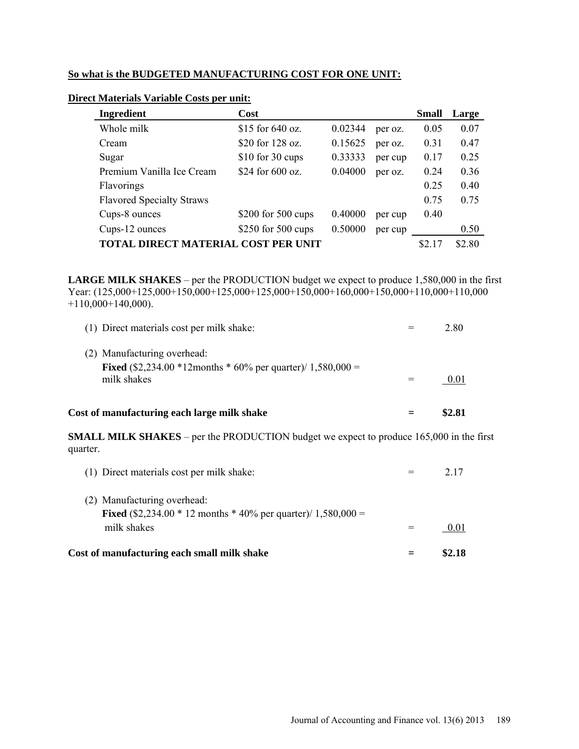# **So what is the BUDGETED MANUFACTURING COST FOR ONE UNIT:**

| Ingredient                          | Cost               |         |         | <b>Small</b> | Large |
|-------------------------------------|--------------------|---------|---------|--------------|-------|
| Whole milk                          | \$15 for $640$ oz. | 0.02344 | per oz. | 0.05         | 0.07  |
| Cream                               | \$20 for 128 oz.   | 0.15625 | per oz. | 0.31         | 0.47  |
| Sugar                               | $$10$ for 30 cups  | 0.33333 | per cup | 0.17         | 0.25  |
| Premium Vanilla Ice Cream           | \$24 for 600 oz.   | 0.04000 | per oz. | 0.24         | 0.36  |
| Flavorings                          |                    |         |         | 0.25         | 0.40  |
| <b>Flavored Specialty Straws</b>    |                    |         |         | 0.75         | 0.75  |
| Cups-8 ounces                       | \$200 for 500 cups | 0.40000 | per cup | 0.40         |       |
| Cups-12 ounces                      | \$250 for 500 cups | 0.50000 | per cup |              | 0.50  |
| TOTAL DIRECT MATERIAL COST PER UNIT |                    |         | \$2.17  | \$2.80       |       |

# **Direct Materials Variable Costs per unit:**

**LARGE MILK SHAKES** – per the PRODUCTION budget we expect to produce 1,580,000 in the first Year: (125,000+125,000+150,000+125,000+125,000+150,000+160,000+150,000+110,000+110,000  $+110,000+140,000$ ).

| Cost of manufacturing each large milk shake                                                                           | \$2.81 |
|-----------------------------------------------------------------------------------------------------------------------|--------|
| (2) Manufacturing overhead:<br><b>Fixed</b> (\$2,234.00 $*12$ months $*60\%$ per quarter)/ 1,580,000 =<br>milk shakes | 0.01   |
| (1) Direct materials cost per milk shake:                                                                             | 2.80   |

**SMALL MILK SHAKES** – per the PRODUCTION budget we expect to produce 165,000 in the first quarter.

| Cost of manufacturing each small milk shake                                                                            | \$2.18 |
|------------------------------------------------------------------------------------------------------------------------|--------|
| (2) Manufacturing overhead:<br><b>Fixed</b> (\$2,234.00 $*$ 12 months $*$ 40% per quarter)/ 1,580,000 =<br>milk shakes | 001    |
| (1) Direct materials cost per milk shake:                                                                              |        |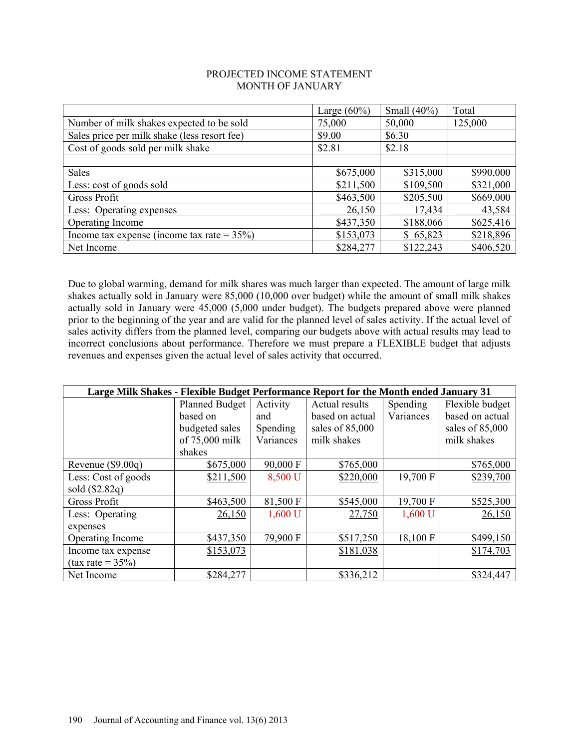#### PROJECTED INCOME STATEMENT MONTH OF JANUARY

|                                                | Large $(60\%)$ | Small $(40\%)$ | Total     |
|------------------------------------------------|----------------|----------------|-----------|
| Number of milk shakes expected to be sold      | 75,000         | 50,000         | 125,000   |
| Sales price per milk shake (less resort fee)   | \$9.00         | \$6.30         |           |
| Cost of goods sold per milk shake              | \$2.81         | \$2.18         |           |
|                                                |                |                |           |
| Sales                                          | \$675,000      | \$315,000      | \$990,000 |
| Less: cost of goods sold                       | \$211,500      | \$109,500      | \$321,000 |
| Gross Profit                                   | \$463,500      | \$205,500      | \$669,000 |
| Less: Operating expenses                       | 26,150         | 17,434         | 43,584    |
| Operating Income                               | \$437,350      | \$188,066      | \$625,416 |
| Income tax expense (income tax rate = $35\%$ ) | \$153,073      | \$65,823       | \$218,896 |
| Net Income                                     | \$284,277      | \$122,243      | \$406,520 |

Due to global warming, demand for milk shares was much larger than expected. The amount of large milk shakes actually sold in January were 85,000 (10,000 over budget) while the amount of small milk shakes actually sold in January were 45,000 (5,000 under budget). The budgets prepared above were planned prior to the beginning of the year and are valid for the planned level of sales activity. If the actual level of sales activity differs from the planned level, comparing our budgets above with actual results may lead to incorrect conclusions about performance. Therefore we must prepare a FLEXIBLE budget that adjusts revenues and expenses given the actual level of sales activity that occurred.

| Large Milk Shakes - Flexible Budget Performance Report for the Month ended January 31 |                       |           |                 |           |                 |
|---------------------------------------------------------------------------------------|-----------------------|-----------|-----------------|-----------|-----------------|
|                                                                                       | <b>Planned Budget</b> | Activity  | Actual results  | Spending  | Flexible budget |
|                                                                                       | based on              | and       | based on actual | Variances | based on actual |
|                                                                                       | budgeted sales        | Spending  | sales of 85,000 |           | sales of 85,000 |
|                                                                                       | of 75,000 milk        | Variances | milk shakes     |           | milk shakes     |
|                                                                                       | shakes                |           |                 |           |                 |
| Revenue $(\$9.00q)$                                                                   | \$675,000             | 90,000 F  | \$765,000       |           | \$765,000       |
| Less: Cost of goods                                                                   | \$211,500             | 8,500 U   | \$220,000       | 19,700 F  | \$239,700       |
| sold $(\$2.82q)$                                                                      |                       |           |                 |           |                 |
| <b>Gross Profit</b>                                                                   | \$463,500             | 81,500 F  | \$545,000       | 19,700 F  | \$525,300       |
| Less: Operating                                                                       | 26,150                | 1,600 U   | 27,750          | 1,600 U   | 26,150          |
| expenses                                                                              |                       |           |                 |           |                 |
| Operating Income                                                                      | \$437,350             | 79,900 F  | \$517,250       | 18,100 F  | \$499,150       |
| Income tax expense                                                                    | \$153,073             |           | \$181,038       |           | \$174,703       |
| $(tax rate = 35%)$                                                                    |                       |           |                 |           |                 |
| Net Income                                                                            | \$284,277             |           | \$336,212       |           | \$324,447       |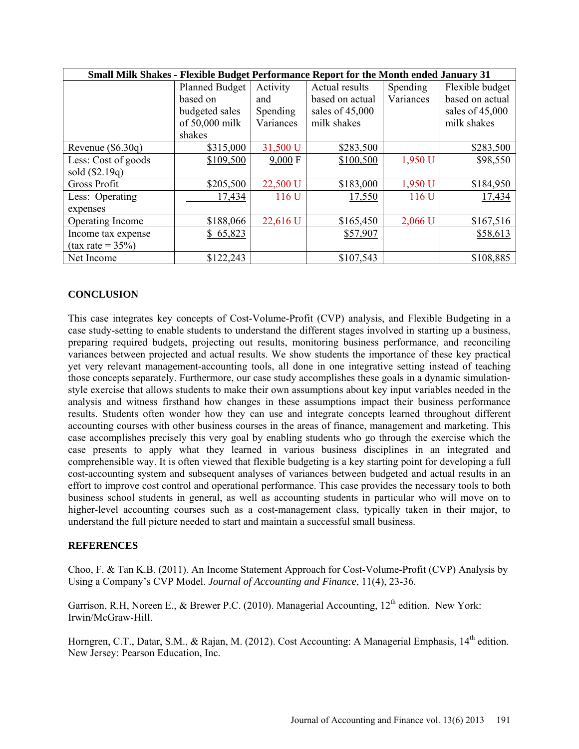| <b>Small Milk Shakes - Flexible Budget Performance Report for the Month ended January 31</b> |                       |           |                 |           |                 |  |  |  |
|----------------------------------------------------------------------------------------------|-----------------------|-----------|-----------------|-----------|-----------------|--|--|--|
|                                                                                              | <b>Planned Budget</b> | Activity  | Actual results  | Spending  | Flexible budget |  |  |  |
|                                                                                              | based on              | and       | based on actual | Variances | based on actual |  |  |  |
|                                                                                              | budgeted sales        | Spending  | sales of 45,000 |           | sales of 45,000 |  |  |  |
|                                                                                              | of 50,000 milk        | Variances | milk shakes     |           | milk shakes     |  |  |  |
|                                                                                              | shakes                |           |                 |           |                 |  |  |  |
| Revenue $(\$6.30q)$                                                                          | \$315,000             | 31,500 U  | \$283,500       |           | \$283,500       |  |  |  |
| Less: Cost of goods                                                                          | \$109,500             | 9,000 F   | \$100,500       | 1,950 U   | \$98,550        |  |  |  |
| sold (\$2.19q)                                                                               |                       |           |                 |           |                 |  |  |  |
| <b>Gross Profit</b>                                                                          | \$205,500             | 22,500 U  | \$183,000       | 1,950 U   | \$184,950       |  |  |  |
| Less: Operating                                                                              | 17,434                | 116 U     | 17,550          | 116 U     | 17,434          |  |  |  |
| expenses                                                                                     |                       |           |                 |           |                 |  |  |  |
| Operating Income                                                                             | \$188,066             | 22,616 U  | \$165,450       | $2,066$ U | \$167,516       |  |  |  |
| Income tax expense                                                                           | \$65,823              |           | \$57,907        |           | \$58,613        |  |  |  |
| $(tax rate = 35%)$                                                                           |                       |           |                 |           |                 |  |  |  |
| Net Income                                                                                   | \$122,243             |           | \$107,543       |           | \$108,885       |  |  |  |

### **CONCLUSION**

This case integrates key concepts of Cost-Volume-Profit (CVP) analysis, and Flexible Budgeting in a case study-setting to enable students to understand the different stages involved in starting up a business, preparing required budgets, projecting out results, monitoring business performance, and reconciling variances between projected and actual results. We show students the importance of these key practical yet very relevant management-accounting tools, all done in one integrative setting instead of teaching those concepts separately. Furthermore, our case study accomplishes these goals in a dynamic simulationstyle exercise that allows students to make their own assumptions about key input variables needed in the analysis and witness firsthand how changes in these assumptions impact their business performance results. Students often wonder how they can use and integrate concepts learned throughout different accounting courses with other business courses in the areas of finance, management and marketing. This case accomplishes precisely this very goal by enabling students who go through the exercise which the case presents to apply what they learned in various business disciplines in an integrated and comprehensible way. It is often viewed that flexible budgeting is a key starting point for developing a full cost-accounting system and subsequent analyses of variances between budgeted and actual results in an effort to improve cost control and operational performance. This case provides the necessary tools to both business school students in general, as well as accounting students in particular who will move on to higher-level accounting courses such as a cost-management class, typically taken in their major, to understand the full picture needed to start and maintain a successful small business.

### **REFERENCES**

Choo, F. & Tan K.B. (2011). An Income Statement Approach for Cost-Volume-Profit (CVP) Analysis by Using a Company's CVP Model. *Journal of Accounting and Finance*, 11(4), 23-36.

Garrison, R.H, Noreen E., & Brewer P.C. (2010). Managerial Accounting,  $12<sup>th</sup>$  edition. New York: Irwin/McGraw-Hill.

Horngren, C.T., Datar, S.M., & Rajan, M. (2012). Cost Accounting: A Managerial Emphasis, 14<sup>th</sup> edition. New Jersey: Pearson Education, Inc.